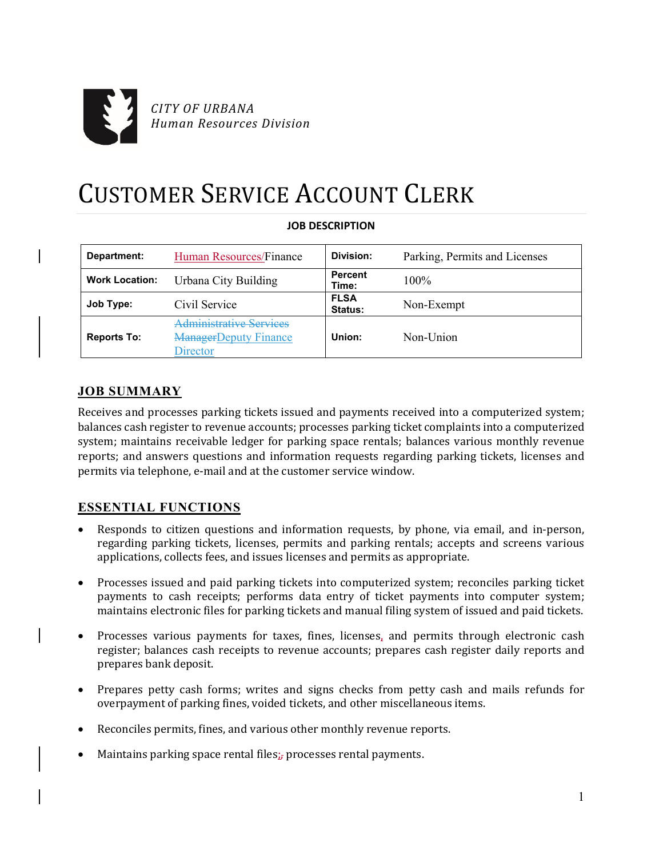

# CUSTOMER SERVICE ACCOUNT CLERK

| Department:           | Human Resources/Finance                                                    | Division:               | Parking, Permits and Licenses |
|-----------------------|----------------------------------------------------------------------------|-------------------------|-------------------------------|
| <b>Work Location:</b> | Urbana City Building                                                       | <b>Percent</b><br>Time: | $100\%$                       |
| Job Type:             | Civil Service                                                              | <b>FLSA</b><br>Status:  | Non-Exempt                    |
| <b>Reports To:</b>    | <b>Administrative Services</b><br><b>ManagerDeputy Finance</b><br>director | Union:                  | Non-Union                     |

# **JOB DESCRIPTION**

# **JOB SUMMARY**

Receives and processes parking tickets issued and payments received into a computerized system; balances cash register to revenue accounts; processes parking ticket complaints into a computerized system; maintains receivable ledger for parking space rentals; balances various monthly revenue reports; and answers questions and information requests regarding parking tickets, licenses and permits via telephone, e-mail and at the customer service window.

# **ESSENTIAL FUNCTIONS**

- Responds to citizen questions and information requests, by phone, via email, and in-person, regarding parking tickets, licenses, permits and parking rentals; accepts and screens various applications, collects fees, and issues licenses and permits as appropriate.
- Processes issued and paid parking tickets into computerized system; reconciles parking ticket payments to cash receipts; performs data entry of ticket payments into computer system; maintains electronic files for parking tickets and manual filing system of issued and paid tickets.
- Processes various payments for taxes, fines, licenses, and permits through electronic cash register; balances cash receipts to revenue accounts; prepares cash register daily reports and prepares bank deposit.
- Prepares petty cash forms; writes and signs checks from petty cash and mails refunds for overpayment of parking fines, voided tickets, and other miscellaneous items.
- Reconciles permits, fines, and various other monthly revenue reports.
- Maintains parking space rental files; processes rental payments.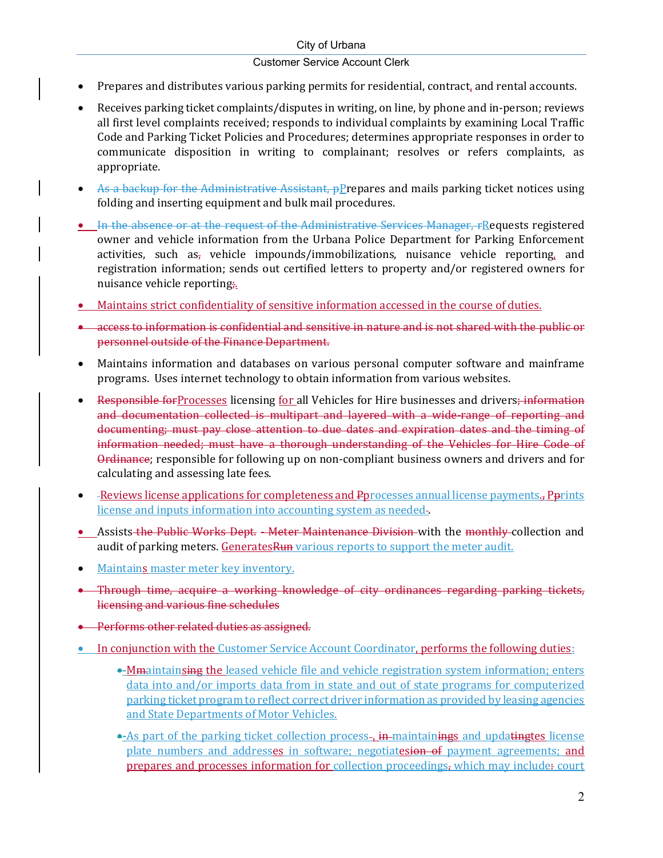#### City of Urbana

#### Customer Service Account Clerk

- Prepares and distributes various parking permits for residential, contract, and rental accounts.
- Receives parking ticket complaints/disputes in writing, on line, by phone and in-person; reviews all first level complaints received; responds to individual complaints by examining Local Traffic Code and Parking Ticket Policies and Procedures; determines appropriate responses in order to communicate disposition in writing to complainant; resolves or refers complaints, as appropriate.
- As a backup for the Administrative Assistant,  $p$ *P* repares and mails parking ticket notices using folding and inserting equipment and bulk mail procedures.
- In the absence or at the request of the Administrative Services Manager, rRequests registered owner and vehicle information from the Urbana Police Department for Parking Enforcement activities, such as<sub>r</sub> vehicle impounds/immobilizations, nuisance vehicle reporting, and registration information; sends out certified letters to property and/or registered owners for nuisance vehicle reporting.
- Maintains strict confidentiality of sensitive information accessed in the course of duties.
- **•** access to information is confidential and sensitive in nature and is not shared with the public or personnel outside of the Finance Department.
- Maintains information and databases on various personal computer software and mainframe programs. Uses internet technology to obtain information from various websites.
- Responsible forProcesses licensing for all Vehicles for Hire businesses and drivers; information and documentation collected is multipart and layered with a wide-range of reporting and documenting; must pay close attention to due dates and expiration dates and the timing of information needed; must have a thorough understanding of the Vehicles for Hire Code of Ordinance; responsible for following up on non-compliant business owners and drivers and for calculating and assessing late fees.
- -Reviews license applications for completeness and Pprocesses annual license payments., Pprints license and inputs information into accounting system as needed .
- Assists the Public Works Dept. Meter Maintenance Division with the monthly collection and audit of parking meters. GeneratesRun various reports to support the meter audit.
- Maintains master meter key inventory.
- Through time, acquire a working knowledge of city ordinances regarding parking tickets, licensing and various fine schedules
- Performs other related duties as assigned.
- In conjunction with the Customer Service Account Coordinator, performs the following duties:
	- Mmaintainsing the leased vehicle file and vehicle registration system information; enters data into and/or imports data from in state and out of state programs for computerized parking ticket program to reflect correct driver information as provided by leasing agencies and State Departments of Motor Vehicles.
	- •- As part of the parking ticket collection process-, in maintainings and updatingtes license plate numbers and addresses in software; negotiatesion of payment agreements; and prepares and processes information for collection proceedings, which may include: court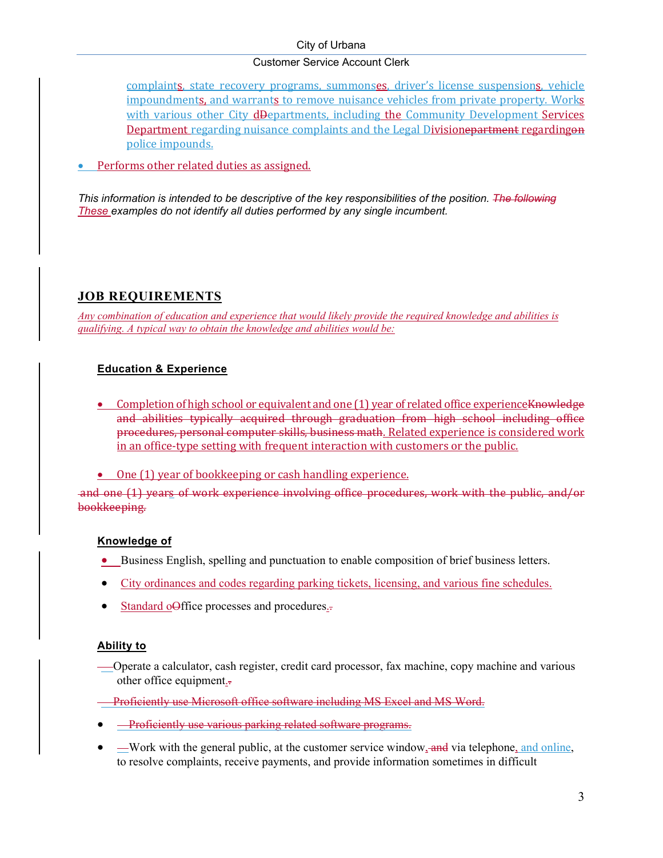#### City of Urbana

#### Customer Service Account Clerk

complaints, state recovery programs, summonses, driver's license suspensions, vehicle impoundments, and warrants to remove nuisance vehicles from private property. Works with various other City d<del>Departments, including the Community Development Services</del> Department regarding nuisance complaints and the Legal Divisione partment regarding on police impounds.

Performs other related duties as assigned.

*This information is intended to be descriptive of the key responsibilities of the position. The following These examples do not identify all duties performed by any single incumbent.*

# **JOB REQUIREMENTS**

*Any combination of education and experience that would likely provide the required knowledge and abilities is qualifying. A typical way to obtain the knowledge and abilities would be:* 

# **Education & Experience**

- Completion of high school or equivalent and one (1) year of related office experience Knowledge and abilities typically acquired through graduation from high school including office procedures, personal computer skills, business math. Related experience is considered work in an office-type setting with frequent interaction with customers or the public.
- One (1) year of bookkeeping or cash handling experience.

and one (1) years of work experience involving office procedures, work with the public, and/or bookkeeping.

# **Knowledge of**

- Business English, spelling and punctuation to enable composition of brief business letters.
- City ordinances and codes regarding parking tickets, licensing, and various fine schedules.
- Standard o<del>Office</del> processes and procedures.

#### **Ability to**

 Operate a calculator, cash register, credit card processor, fax machine, copy machine and various other office equipment..

Proficiently use Microsoft office software including MS Excel and MS Word.

- **Proficiently use various parking related software programs.**
- —Work with the general public, at the customer service window, and via telephone, and online, to resolve complaints, receive payments, and provide information sometimes in difficult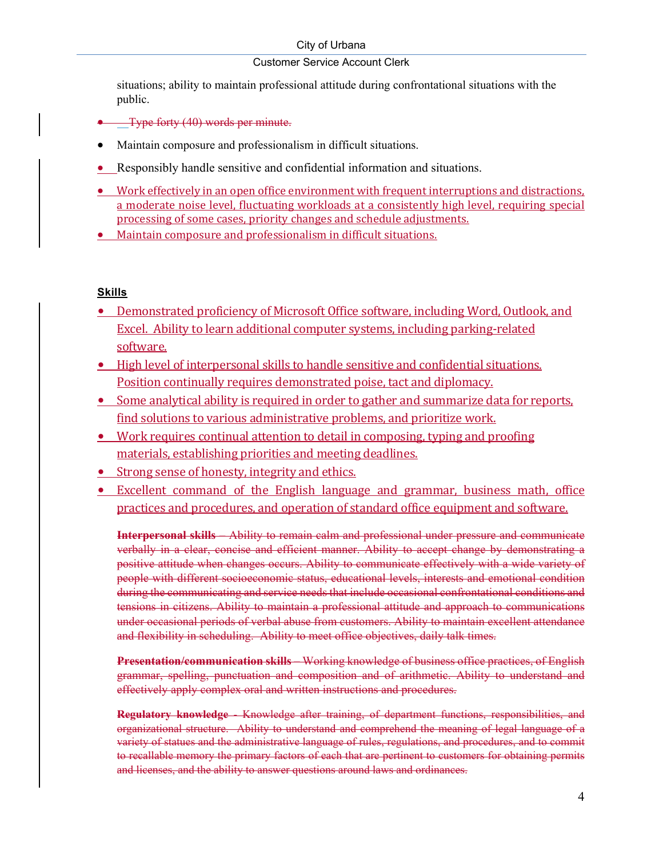## Customer Service Account Clerk

situations; ability to maintain professional attitude during confrontational situations with the public.

- Type forty (40) words per minute.
- Maintain composure and professionalism in difficult situations.
- Responsibly handle sensitive and confidential information and situations.
- Work effectively in an open office environment with frequent interruptions and distractions, a moderate noise level, fluctuating workloads at a consistently high level, requiring special processing of some cases, priority changes and schedule adjustments.
- Maintain composure and professionalism in difficult situations.

#### **Skills**

- Demonstrated proficiency of Microsoft Office software, including Word, Outlook, and Excel. Ability to learn additional computer systems, including parking-related software.
- High level of interpersonal skills to handle sensitive and confidential situations. Position continually requires demonstrated poise, tact and diplomacy.
- Some analytical ability is required in order to gather and summarize data for reports, find solutions to various administrative problems, and prioritize work.
- Work requires continual attention to detail in composing, typing and proofing materials, establishing priorities and meeting deadlines.
- Strong sense of honesty, integrity and ethics.
- Excellent command of the English language and grammar, business math, office practices and procedures, and operation of standard office equipment and software.

**Interpersonal skills** – Ability to remain calm and professional under pressure and communicate verbally in a clear, concise and efficient manner. Ability to accept change by demonstrating a positive attitude when changes occurs. Ability to communicate effectively with a wide variety of people with different socioeconomic status, educational levels, interests and emotional condition during the communicating and service needs that include occasional confrontational conditions and tensions in citizens. Ability to maintain a professional attitude and approach to communications under occasional periods of verbal abuse from customers. Ability to maintain excellent attendance and flexibility in scheduling. Ability to meet office objectives, daily talk times.

**Presentation/communication skills** – Working knowledge of business office practices, of English grammar, spelling, punctuation and composition and of arithmetic. Ability to understand and effectively apply complex oral and written instructions and procedures.

**Regulatory knowledge** - Knowledge after training, of department functions, responsibilities, and organizational structure. Ability to understand and comprehend the meaning of legal language of a variety of statues and the administrative language of rules, regulations, and procedures, and to commit to recallable memory the primary factors of each that are pertinent to customers for obtaining permits and licenses, and the ability to answer questions around laws and ordinances.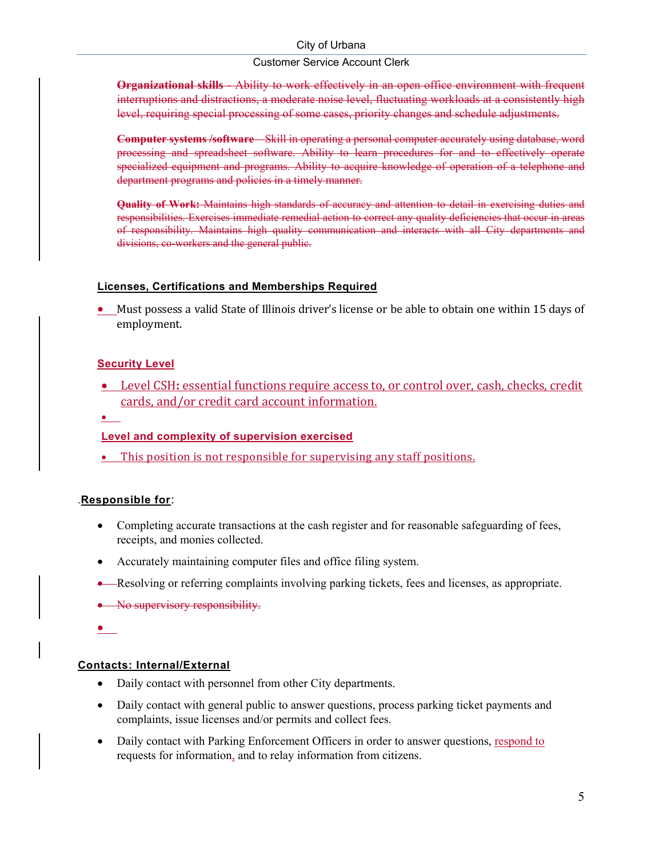#### City of Urbana

#### Customer Service Account Clerk

**Organizational skills** - Ability to work effectively in an open office environment with frequent interruptions and distractions, a moderate noise level, fluctuating workloads at a consistently high level, requiring special processing of some cases, priority changes and schedule adjustments.

**Computer systems /software** – Skill in operating a personal computer accurately using database, word processing and spreadsheet software. Ability to learn procedures for and to effectively operate specialized equipment and programs. Ability to acquire knowledge of operation of a telephone and department programs and policies in a timely manner.

**Quality of Work:** Maintains high standards of accuracy and attention to detail in exercising duties and responsibilities. Exercises immediate remedial action to correct any quality deficiencies that occur in areas of responsibility. Maintains high quality communication and interacts with all City departments and divisions, co-workers and the general public.

#### **Licenses, Certifications and Memberships Required**

 Must possess a valid State of Illinois driver's license or be able to obtain one within 15 days of employment.

#### **Security Level**

- **•** Level CSH: essential functions require access to, or control over, cash, checks, credit cards, and/or credit card account information.
- $\bullet$

#### **Level and complexity of supervision exercised**

This position is not responsible for supervising any staff positions.

#### *.***Responsible for**:

- Completing accurate transactions at the cash register and for reasonable safeguarding of fees, receipts, and monies collected.
- Accurately maintaining computer files and office filing system.
- Resolving or referring complaints involving parking tickets, fees and licenses, as appropriate.
- No supervisory responsibility.

 $\bullet$ 

#### **Contacts: Internal/External**

- Daily contact with personnel from other City departments.
- Daily contact with general public to answer questions, process parking ticket payments and complaints, issue licenses and/or permits and collect fees.
- Daily contact with Parking Enforcement Officers in order to answer questions, respond to requests for information, and to relay information from citizens.